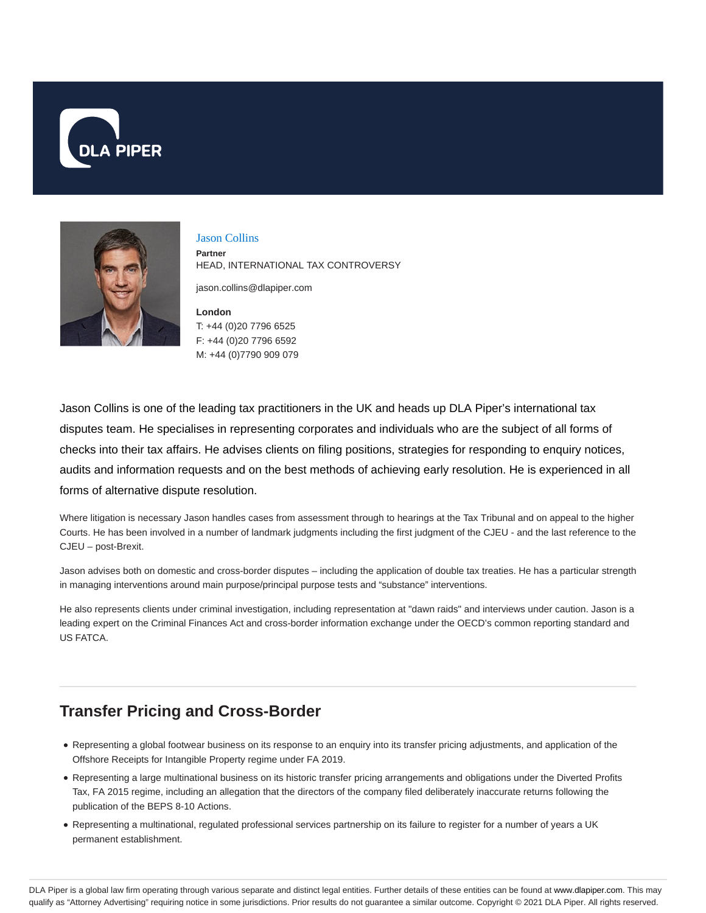



Jason Collins **Partner** HEAD, INTERNATIONAL TAX CONTROVERSY

jason.collins@dlapiper.com

**London** T: +44 (0)20 7796 6525 F: +44 (0)20 7796 6592 M: +44 (0)7790 909 079

Jason Collins is one of the leading tax practitioners in the UK and heads up DLA Piper's international tax disputes team. He specialises in representing corporates and individuals who are the subject of all forms of checks into their tax affairs. He advises clients on filing positions, strategies for responding to enquiry notices, audits and information requests and on the best methods of achieving early resolution. He is experienced in all forms of alternative dispute resolution.

Where litigation is necessary Jason handles cases from assessment through to hearings at the Tax Tribunal and on appeal to the higher Courts. He has been involved in a number of landmark judgments including the first judgment of the CJEU - and the last reference to the CJEU – post-Brexit.

Jason advises both on domestic and cross-border disputes – including the application of double tax treaties. He has a particular strength in managing interventions around main purpose/principal purpose tests and "substance" interventions.

He also represents clients under criminal investigation, including representation at "dawn raids" and interviews under caution. Jason is a leading expert on the Criminal Finances Act and cross-border information exchange under the OECD's common reporting standard and US FATCA.

## **Transfer Pricing and Cross-Border**

- Representing a global footwear business on its response to an enquiry into its transfer pricing adjustments, and application of the Offshore Receipts for Intangible Property regime under FA 2019.
- Representing a large multinational business on its historic transfer pricing arrangements and obligations under the Diverted Profits Tax, FA 2015 regime, including an allegation that the directors of the company filed deliberately inaccurate returns following the publication of the BEPS 8-10 Actions.
- Representing a multinational, regulated professional services partnership on its failure to register for a number of years a UK permanent establishment.

DLA Piper is a global law firm operating through various separate and distinct legal entities. Further details of these entities can be found at www.dlapiper.com. This may qualify as "Attorney Advertising" requiring notice in some jurisdictions. Prior results do not guarantee a similar outcome. Copyright © 2021 DLA Piper. All rights reserved.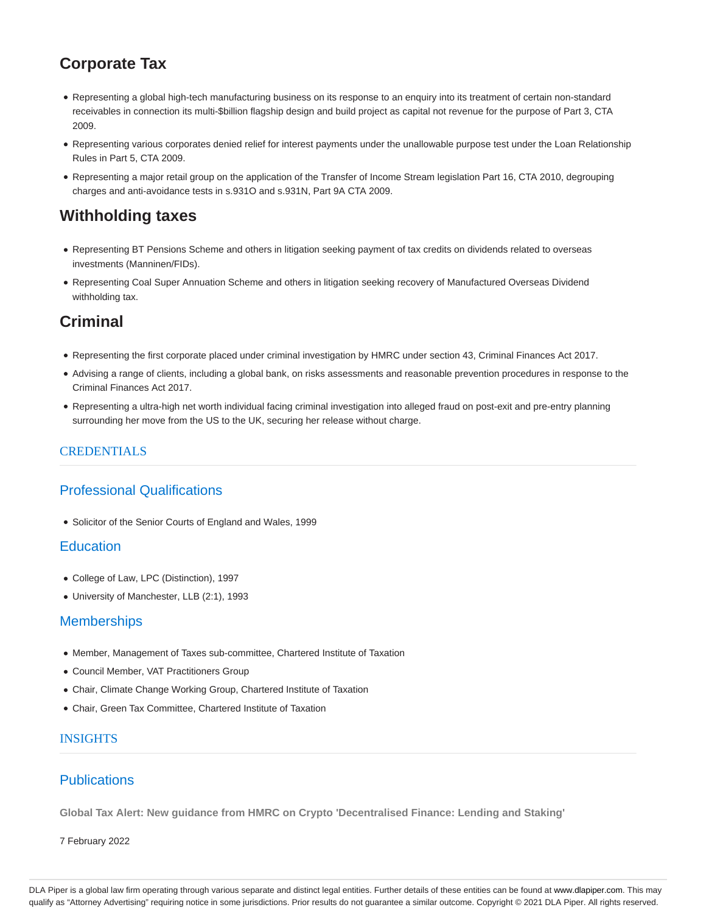# **Corporate Tax**

- Representing a global high-tech manufacturing business on its response to an enquiry into its treatment of certain non-standard receivables in connection its multi-\$billion flagship design and build project as capital not revenue for the purpose of Part 3, CTA 2009.
- Representing various corporates denied relief for interest payments under the unallowable purpose test under the Loan Relationship Rules in Part 5, CTA 2009.
- Representing a major retail group on the application of the Transfer of Income Stream legislation Part 16, CTA 2010, degrouping charges and anti-avoidance tests in s.931O and s.931N, Part 9A CTA 2009.

## **Withholding taxes**

- Representing BT Pensions Scheme and others in litigation seeking payment of tax credits on dividends related to overseas investments (Manninen/FIDs).
- Representing Coal Super Annuation Scheme and others in litigation seeking recovery of Manufactured Overseas Dividend withholding tax.

## **Criminal**

- Representing the first corporate placed under criminal investigation by HMRC under section 43, Criminal Finances Act 2017.
- Advising a range of clients, including a global bank, on risks assessments and reasonable prevention procedures in response to the Criminal Finances Act 2017.
- Representing a ultra-high net worth individual facing criminal investigation into alleged fraud on post-exit and pre-entry planning surrounding her move from the US to the UK, securing her release without charge.

### **CREDENTIALS**

## Professional Qualifications

Solicitor of the Senior Courts of England and Wales, 1999

### **Education**

- College of Law, LPC (Distinction), 1997
- University of Manchester, LLB (2:1), 1993

### **Memberships**

- Member, Management of Taxes sub-committee, Chartered Institute of Taxation
- Council Member, VAT Practitioners Group
- Chair, Climate Change Working Group, Chartered Institute of Taxation
- Chair, Green Tax Committee, Chartered Institute of Taxation

#### INSIGHTS

### **Publications**

**Global Tax Alert: New guidance from HMRC on Crypto 'Decentralised Finance: Lending and Staking'**

7 February 2022

DLA Piper is a global law firm operating through various separate and distinct legal entities. Further details of these entities can be found at www.dlapiper.com. This may qualify as "Attorney Advertising" requiring notice in some jurisdictions. Prior results do not guarantee a similar outcome. Copyright © 2021 DLA Piper. All rights reserved.